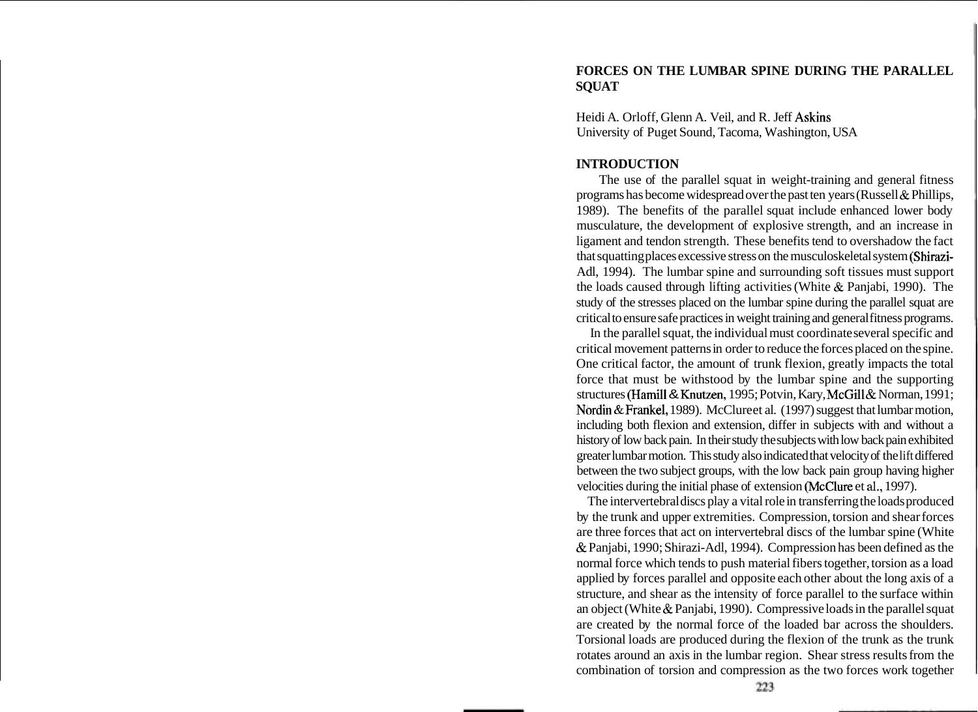# **FORCES ON THE LUMBAR SPINE DURING THE PARALLEL SQUAT**

Heidi A. Orloff, Glenn A. Veil, and R. Jeff Askins University of Puget Sound, Tacoma, Washington, USA

### **INTRODUCTION**

The use of the parallel squat in weight-training and general fitness programs has become widespread over the past ten years (Russell & Phillips, 1989). The benefits of the parallel squat include enhanced lower body musculature, the development of explosive strength, and an increase in ligament and tendon strength. These benefits tend to overshadow the fact that squatting places excessive stress on the musculoskeletal system (Shirazi-Adl, 1994). The lumbar spine and surrounding soft tissues must support the loads caused through lifting activities (White  $&$  Panjabi, 1990). The study of the stresses placed on the lumbar spine during the parallel squat are critical to ensure safe practices in weight training and general fitness programs.

In the parallel squat, the individual must coordinate several specific and critical movement patterns in order to reduce the forces placed on the spine. One critical factor, the amount of trunk flexion, greatly impacts the total force that must be withstood by the lumbar spine and the supporting structures (Hamill & Knutzen, 1995; Potvin, Kary, McGill & Norman, 1991; Nordin & Frankel, 1989). McClure et al. (1997) suggest that lumbar motion, including both flexion and extension, differ in subjects with and without a history of low back pain. In their study the subjects with low back pain exhibited greater lumbar motion. This study also indicated that velocity of the lift differed between the two subject groups, with the low back pain group having higher velocities during the initial phase of extension (McClure et **al.,** 1997).

The intervertebral discs play a vital role in transferring the loads produced by the trunk and upper extremities. Compression, torsion and shear forces are three forces that act on intervertebral discs of the lumbar spine (White & Panjabi, 1990; Shirazi-Adl, 1994). Compression has been defined as the normal force which tends to push material fibers together, torsion as a load applied by forces parallel and opposite each other about the long axis of a structure, and shear as the intensity of force parallel to the surface within an object (White & Panjabi, 1990). Compressive loads in the parallel squat are created by the normal force of the loaded bar across the shoulders. Torsional loads are produced during the flexion of the trunk as the trunk rotates around an axis in the lumbar region. Shear stress results from the combination of torsion and compression as the two forces work together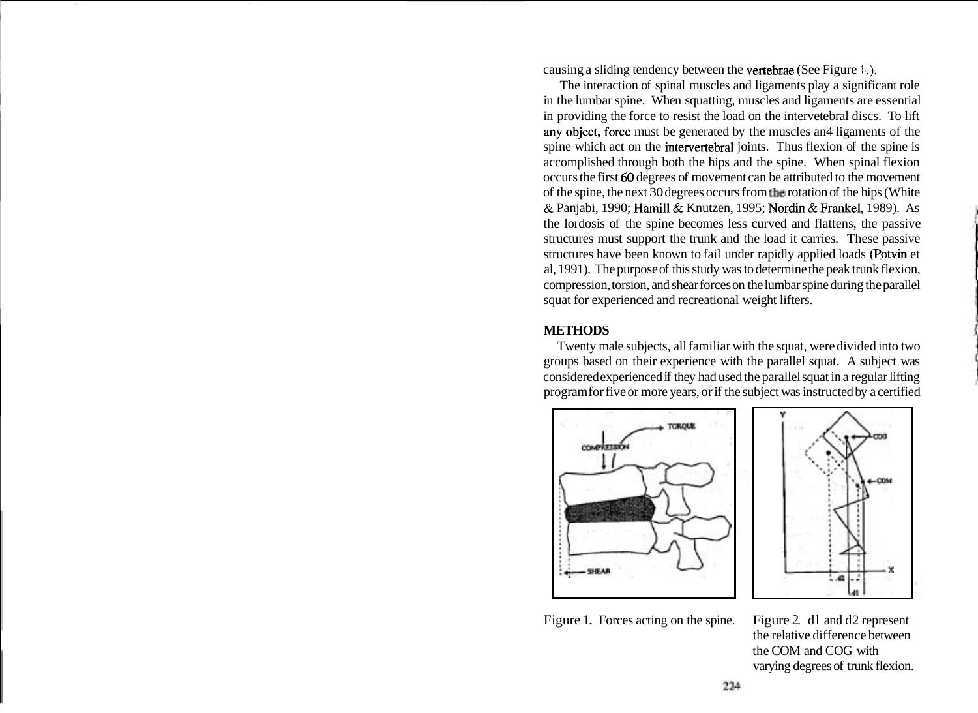causing a sliding tendency between the vertebrae (See Figure 1.).

The interaction of spinal muscles and ligaments play a significant role in the lumbar spine. When squatting, muscles and ligaments are essential in providing the force to resist the load on the intervetebral discs. To lift any object, force must be generated by the muscles and ligaments of the spine which act on the intervertebral joints. Thus flexion of the spine is accomplished through both the hips and the spine. When spinal flexion occurs the first 60 degrees of movement can be attributed to the movement of the spine, the next 30 degrees occurs from the rotation of the hips (White & Panjabi, 1990; Hamill & Knutzen, 1995; Nordin & Frankel, 1989). As the lordosis of the spine becomes less curved and flattens, the passive structures must support the trunk and the load it carries. These passive structures have been known to fail under rapidly applied loads (Potvin et al, 1991). The purpose of this study was to determine the peak trunk flexion, compression, torsion, and shear forces on the lumbar spine during the parallel squat for experienced and recreational weight lifters.

### **METHODS**

Twenty male subjects, all familiar with the squat, were divided into two groups based on their experience with the parallel squat. A subject was considered experienced if they had used the parallel squat in a regular lifting program for five or more years, or if the subject was instructed by a certified





Figure 1. Forces acting on the spine. Figure 2. dl and d2 represent

the relative difference between the COM and COG with varying degrees of trunk flexion.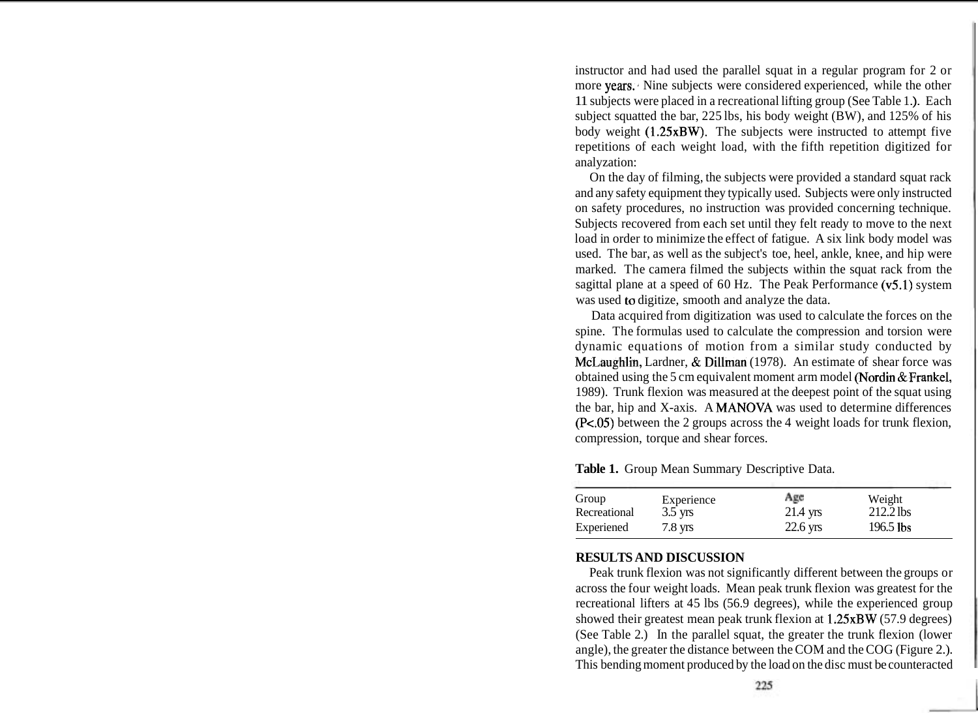instructor and had used the parallel squat in a regular program for 2 or more years. Nine subjects were considered experienced, while the other 11 subjects were placed in a recreational lifting group (See Table 1 .). Each subject squatted the bar, 225 lbs, his body weight (BW), and 125% of his body weight (1.25xBW). The subjects were instructed to attempt five repetitions of each weight load, with the fifth repetition digitized for analyzation:

On the day of filming, the subjects were provided a standard squat rack and any safety equipment they typically used. Subjects were only instructed on safety procedures, no instruction was provided concerning technique. Subjects recovered from each set until they felt ready to move to the next load in order to minimize the effect of fatigue. A six link body model was used. The bar, as well as the subject's toe, heel, ankle, knee, and hip were marked. The camera filmed the subjects within the squat rack from the sagittal plane at a speed of 60 Hz. The Peak Performance (v5.1) system was used to digitize, smooth and analyze the data.

Data acquired from digitization was used to calculate the forces on the spine. The formulas used to calculate the compression and torsion were dynamic equations of motion from a similar study conducted by McLaughlin, Lardner, & Dillman (1978). An estimate of shear force was obtained using the 5 cm equivalent moment arm model (Nordin & Frankel, 1989). Trunk flexion was measured at the deepest point of the squat using the bar, hip and X-axis. A MANOVA was used to determine differences (Pc.05) between the 2 groups across the 4 weight loads for trunk flexion, compression, torque and shear forces.

| Group        | Experience        | Age        | Weight      |  |
|--------------|-------------------|------------|-------------|--|
| Recreational | $3.5$ yrs         | $21.4$ yrs | $212.2$ lbs |  |
| Experiened   | $7.8 \text{ yrs}$ | $22.6$ yrs | $196.5$ lbs |  |

**Table 1.** Group Mean Summary Descriptive Data.

## **RESULTS AND DISCUSSION**

Peak trunk flexion was not significantly different between the groups or across the four weight loads. Mean peak trunk flexion was greatest for the recreational lifters at 45 lbs (56.9 degrees), while the experienced group showed their greatest mean peak trunk flexion at 1.25xBW (57.9 degrees) (See Table 2.) In the parallel squat, the greater the trunk flexion (lower angle), the greater the distance between the COM and the COG (Figure 2.). This bending moment produced by the load on the disc must be counteracted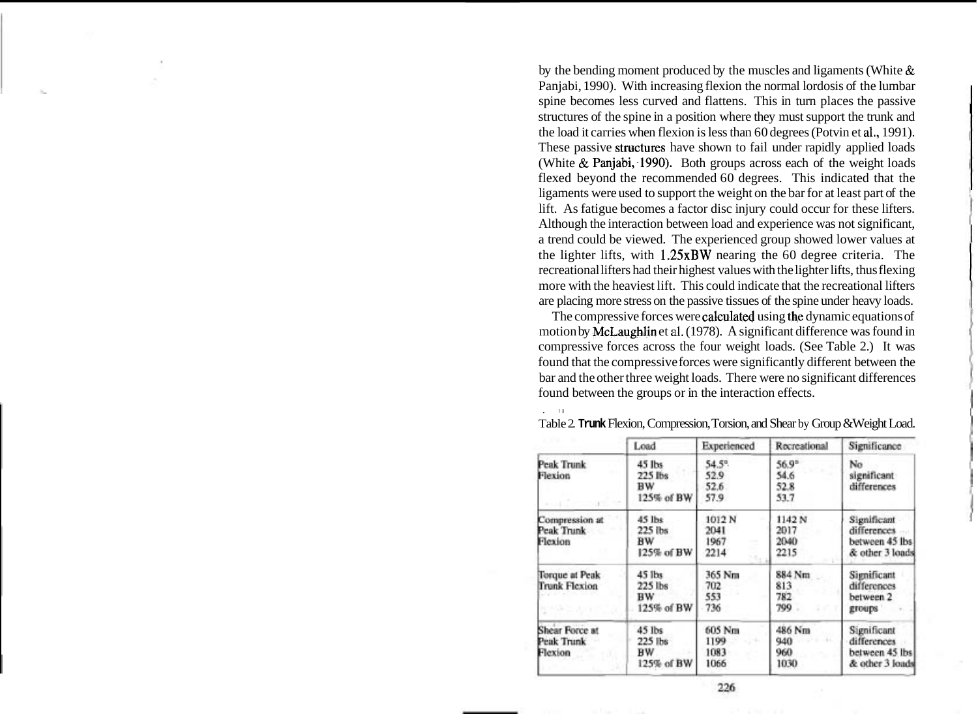by the bending moment produced by the muscles and ligaments (White & Panjabi, 1990). With increasing flexion the normal lordosis of the lumbar spine becomes less curved and flattens. This in turn places the passive structures of the spine in a position where they must support the trunk and the load it carries when flexion is less than 60 degrees (Potvin et **al.,** 1991). These passive structures have shown to fail under rapidly applied loads (White  $\&$  Panjabi, 1990). Both groups across each of the weight loads flexed beyond the recommended 60 degrees. This indicated that the ligaments were used to support the weight on the bar for at least part of the lift. As fatigue becomes a factor disc injury could occur for these lifters. Although the interaction between load and experience was not significant, a trend could be viewed. The experienced group showed lower values at the lighter lifts, with 1.25xBW nearing the 60 degree criteria. The recreational lifters had their highest values with the lighter lifts, thus flexing more with the heaviest lift. This could indicate that the recreational lifters are placing more stress on the passive tissues of the spine under heavy loads.

The compressive forces were calculated using the dynamic equations of motion by McLaughlin et **al.** (1978). A significant difference was found in compressive forces across the four weight loads. (See Table 2.) It was found that the compressive forces were significantly different between the bar and the other three weight loads. There were no significant differences found between the groups or in the interaction effects.

|                                                | Load                                  | Experienced                    | Recreational                         | Significance                                                    |
|------------------------------------------------|---------------------------------------|--------------------------------|--------------------------------------|-----------------------------------------------------------------|
| <b>Peak Trunk</b><br>Flexion                   | 45 lbs<br>225 lbs<br>вw<br>125% of BW | 54.5°<br>52.9<br>52.6<br>57.9  | $56.9^\circ$<br>54.6<br>52.8<br>53.7 | No<br>significant<br>differences                                |
| Compression at<br>Peak Trunk<br>Flexion        | 45 lbs<br>225 lbs<br>BW<br>125% of BW | 1012 N<br>2041<br>1967<br>2214 | 1142 N<br>2017<br>2040<br>2215       | Significant<br>differences<br>between 45 lbs<br>& other 3 loads |
| Torque at Peak<br><b>Trunk Flexion</b>         | 45 lbs<br>225 lbs<br>BW<br>125% of BW | 365 Nm<br>702<br>553<br>736    | 884 Nm<br>813<br>782<br>709          | Significant<br>differences<br>between 2<br>groups               |
| <b>Shear Force at</b><br>Peak Trunk<br>Flexion | 45 lbs<br>225 lbs<br>вw<br>125% of BW | 605 Nm<br>1199<br>1083<br>1066 | 486 Nm<br>940<br>960<br>1030         | Significant<br>differences<br>between 45 lbs<br>& other 3 loads |

Table 2. **Trunk** Flexion, Compression, Torsion, and Shear by Group &Weight Load.

 $, -i$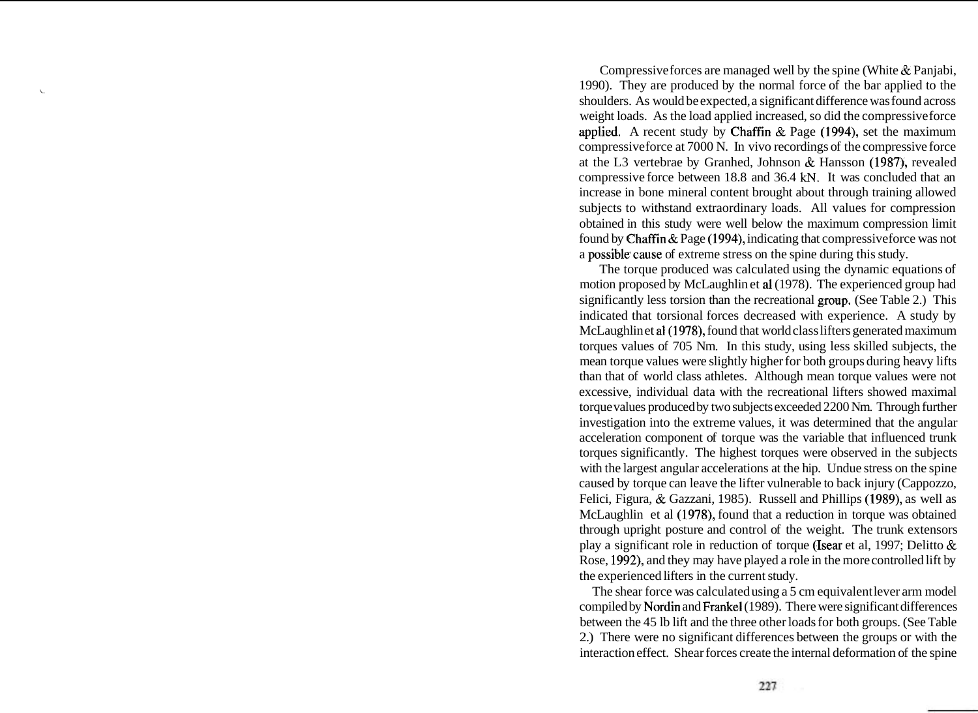Compressive forces are managed well by the spine (White & Panjabi, 1990). They are produced by the normal force of the bar applied to the **<sup>i</sup>** shoulders. As would be expected, a significant difference was found across weight loads. As the load applied increased, so did the compressive force applied. A recent study by Chaffin & Page (1994), set the maximum compressive force at 7000 N. In vivo recordings of the compressive force at the L3 vertebrae by Granhed, Johnson & Hansson (1987), revealed compressive force between 18.8 and 36.4 **kN.** It was concluded that an increase in bone mineral content brought about through training allowed subjects to withstand extraordinary loads. All values for compression obtained in this study were well below the maximum compression limit found by Chaffin & Page (1994), indicating that compressive force was not a possible'cause of extreme stress on the spine during this study.

The torque produced was calculated using the dynamic equations of motion proposed by McLaughlin et a1 (1978). The experienced group had significantly less torsion than the recreational group, (See Table 2.) This indicated that torsional forces decreased with experience. A study by McLaughlin et al (1978), found that world class lifters generated maximum torques values of 705 Nm. In this study, using less skilled subjects, the mean torque values were slightly higher for both groups during heavy lifts than that of world class athletes. Although mean torque values were not excessive, individual data with the recreational lifters showed maximal torque values produced by two subjects exceeded 2200 Nm. Through further investigation into the extreme values, it was determined that the angular acceleration component of torque was the variable that influenced trunk torques significantly. The highest torques were observed in the subjects with the largest angular accelerations at the hip. Undue stress on the spine caused by torque can leave the lifter vulnerable to back injury (Cappozzo, Felici, Figura, & Gazzani, 1985). Russell and Phillips (1989), as well as McLaughlin et al (1978), found that a reduction in torque was obtained through upright posture and control of the weight. The trunk extensors play a significant role in reduction of torque (Isear et al, 1997; Delitto & Rose, 1992), and they may have played a role in the more controlled lift by the experienced lifters in the current study.

The shear force was calculated using a 5 cm equivalent lever arm model compiled by Nordin and Frankel (1989). There were significant differences between the 45 lb lift and the three other loads for both groups. (See Table 2.) There were no significant differences between the groups or with the interaction effect. Shear forces create the internal deformation of the spine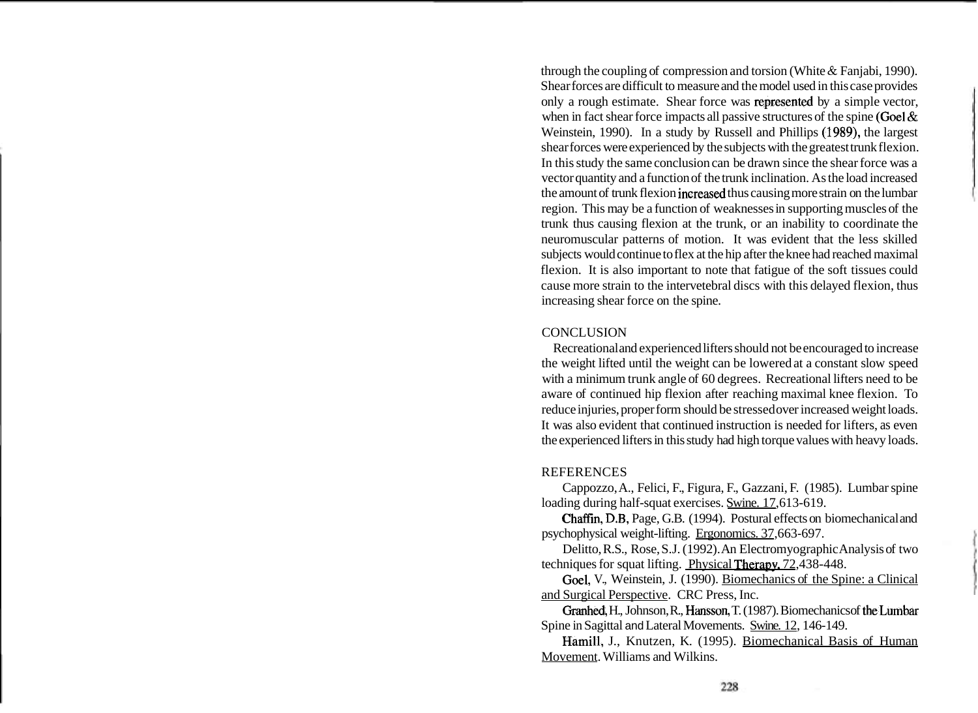through the coupling of compression and torsion (White & Fanjabi, 1990). Shear forces are difficult to measure and the model used in this case provides only a rough estimate. Shear force was reptesented by a simple vector, when in fact shear force impacts all passive structures of the spine (Goel  $\&$ Weinstein, 1990). In a study by Russell and Phillips (1989), the largest shear forces were experienced by the subjects with the greatest trunk flexion. In this study the same conclusion can be drawn since the shear force was a vector quantity and a function of the trunk inclination. As the load increased the amount of trunk flexion increased thus causing more strain on the lumbar region. This may be a function of weaknesses in supporting muscles of the trunk thus causing flexion at the trunk, or an inability to coordinate the neuromuscular patterns of motion. It was evident that the less skilled subjects would continue to flex at the hip after the knee had reached maximal flexion. It is also important to note that fatigue of the soft tissues could cause more strain to the intervetebral discs with this delayed flexion, thus increasing shear force on the spine.

#### **CONCLUSION**

Recreational and experienced lifters should not be encouraged to increase the weight lifted until the weight can be lowered at a constant slow speed with a minimum trunk angle of 60 degrees. Recreational lifters need to be aware of continued hip flexion after reaching maximal knee flexion. To reduce injuries, proper form should be stressed over increased weight loads. It was also evident that continued instruction is needed for lifters, as even the experienced lifters in this study had high torque values with heavy loads.

## REFERENCES

Cappozzo, A., Felici, F., Figura, F., Gazzani, F. (1985). Lumbar spine loading during half-squat exercises. Swine. 17,613-619.

Chaffin, D.B, Page, G.B. (1994). Postural effects on biomechanical and psychophysical weight-lifting. Ergonomics. 37,663-697.

Delitto, R.S., Rose, S.J. (1992). An Electromyographic Analysis of two techniques for squat lifting. Physical Therapv. 72,438-448.

Goel, V., Weinstein, J. (1990). Biomechanics of the Spine: a Clinical and Surgical Perspective. CRC Press, Inc.

Granhed, H., Johnson, R., Hansson, T. (1987). Biomechanics of theLumbar Spine in Sagittal and Lateral Movements. Swine. 12, 146-149.

Hamill, J., Knutzen, K. (1995). Biomechanical Basis of Human Movement. Williams and Wilkins.